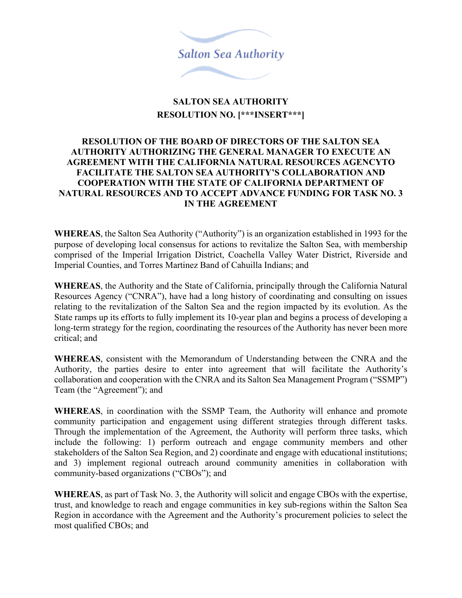

## **SALTON SEA AUTHORITY RESOLUTION NO. [\*\*\*INSERT\*\*\*]**

## **RESOLUTION OF THE BOARD OF DIRECTORS OF THE SALTON SEA AUTHORITY AUTHORIZING THE GENERAL MANAGER TO EXECUTE AN AGREEMENT WITH THE CALIFORNIA NATURAL RESOURCES AGENCYTO FACILITATE THE SALTON SEA AUTHORITY'S COLLABORATION AND COOPERATION WITH THE STATE OF CALIFORNIA DEPARTMENT OF NATURAL RESOURCES AND TO ACCEPT ADVANCE FUNDING FOR TASK NO. 3 IN THE AGREEMENT**

**WHEREAS**, the Salton Sea Authority ("Authority") is an organization established in 1993 for the purpose of developing local consensus for actions to revitalize the Salton Sea, with membership comprised of the Imperial Irrigation District, Coachella Valley Water District, Riverside and Imperial Counties, and Torres Martinez Band of Cahuilla Indians; and

**WHEREAS**, the Authority and the State of California, principally through the California Natural Resources Agency ("CNRA"), have had a long history of coordinating and consulting on issues relating to the revitalization of the Salton Sea and the region impacted by its evolution. As the State ramps up its efforts to fully implement its 10-year plan and begins a process of developing a long-term strategy for the region, coordinating the resources of the Authority has never been more critical; and

**WHEREAS**, consistent with the Memorandum of Understanding between the CNRA and the Authority, the parties desire to enter into agreement that will facilitate the Authority's collaboration and cooperation with the CNRA and its Salton Sea Management Program ("SSMP") Team (the "Agreement"); and

**WHEREAS**, in coordination with the SSMP Team, the Authority will enhance and promote community participation and engagement using different strategies through different tasks. Through the implementation of the Agreement, the Authority will perform three tasks, which include the following: 1) perform outreach and engage community members and other stakeholders of the Salton Sea Region, and 2) coordinate and engage with educational institutions; and 3) implement regional outreach around community amenities in collaboration with community-based organizations ("CBOs"); and

**WHEREAS**, as part of Task No. 3, the Authority will solicit and engage CBOs with the expertise, trust, and knowledge to reach and engage communities in key sub-regions within the Salton Sea Region in accordance with the Agreement and the Authority's procurement policies to select the most qualified CBOs; and